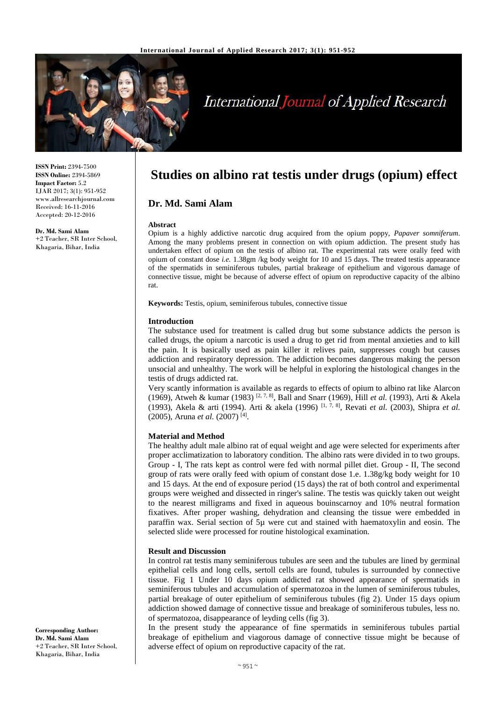

# **International Journal of Applied Research**

**ISSN Print:** 2394-7500 **ISSN Online:** 2394-5869 **Impact Factor:** 5.2 IJAR 2017; 3(1): 951-952 www.allresearchjournal.com Received: 16-11-2016 Accepted: 20-12-2016

**Dr. Md. Sami Alam** +2 Teacher, SR Inter School, Khagaria, Bihar, India

# **Studies on albino rat testis under drugs (opium) effect**

# **Dr. Md. Sami Alam**

#### **Abstract**

Opium is a highly addictive narcotic drug acquired from the opium poppy, *Papaver somniferum*. Among the many problems present in connection on with opium addiction. The present study has undertaken effect of opium on the testis of albino rat. The experimental rats were orally feed with opium of constant dose *i.e.* 1.38gm /kg body weight for 10 and 15 days. The treated testis appearance of the spermatids in seminiferous tubules, partial brakeage of epithelium and vigorous damage of connective tissue, might be because of adverse effect of opium on reproductive capacity of the albino rat.

**Keywords:** Testis, opium, seminiferous tubules, connective tissue

#### **Introduction**

The substance used for treatment is called drug but some substance addicts the person is called drugs, the opium a narcotic is used a drug to get rid from mental anxieties and to kill the pain. It is basically used as pain killer it relives pain, suppresses cough but causes addiction and respiratory depression. The addiction becomes dangerous making the person unsocial and unhealthy. The work will be helpful in exploring the histological changes in the testis of drugs addicted rat.

Very scantly information is available as regards to effects of opium to albino rat like Alarcon (1969), Atweh & kumar (1983) [2, 7, 8] , Ball and Snarr (1969), Hill *et al.* (1993), Arti & Akela (1993), Akela & arti (1994). Arti & akela (1996) [1, 7, 8] , Revati *et al.* (2003), Shipra *et al.* (2005), Aruna *et al.* (2007) [4] .

# **Material and Method**

The healthy adult male albino rat of equal weight and age were selected for experiments after proper acclimatization to laboratory condition. The albino rats were divided in to two groups. Group - I, The rats kept as control were fed with normal pillet diet. Group - II, The second group of rats were orally feed with opium of constant dose 1.e. 1.38g/kg body weight for 10 and 15 days. At the end of exposure period (15 days) the rat of both control and experimental groups were weighed and dissected in ringer's saline. The testis was quickly taken out weight to the nearest milligrams and fixed in aqueous bouinscarnoy and 10% neutral formation fixatives. After proper washing, dehydration and cleansing the tissue were embedded in paraffin wax. Serial section of 5µ were cut and stained with haematoxylin and eosin. The selected slide were processed for routine histological examination.

# **Result and Discussion**

In control rat testis many seminiferous tubules are seen and the tubules are lined by germinal epithelial cells and long cells, sertoll cells are found, tubules is surrounded by connective tissue. Fig 1 Under 10 days opium addicted rat showed appearance of spermatids in seminiferous tubules and accumulation of spermatozoa in the lumen of seminiferous tubules, partial breakage of outer epithelium of seminiferous tubules (fig 2). Under 15 days opium addiction showed damage of connective tissue and breakage of sominiferous tubules, less no. of spermatozoa, disappearance of leyding cells (fig 3).

In the present study the appearance of fine spermatids in seminiferous tubules partial breakage of epithelium and viagorous damage of connective tissue might be because of adverse effect of opium on reproductive capacity of the rat.

**Corresponding Author: Dr. Md. Sami Alam** +2 Teacher, SR Inter School, Khagaria, Bihar, India